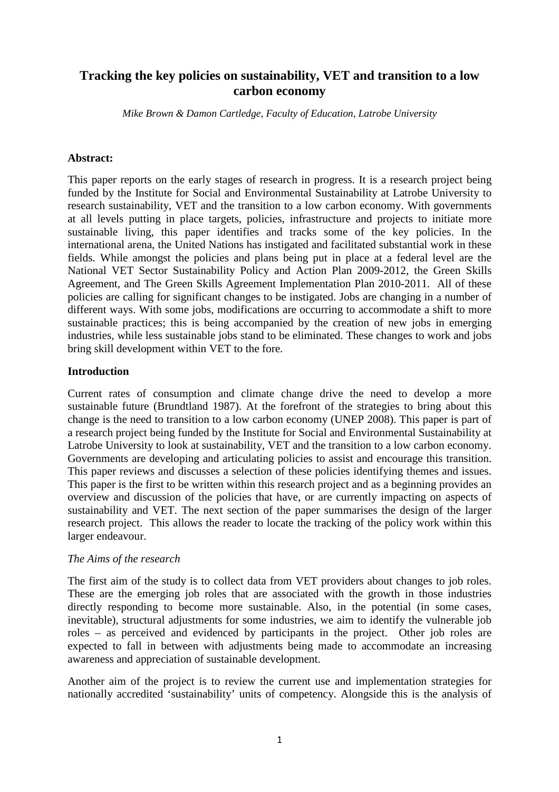# **Tracking the key policies on sustainability, VET and transition to a low carbon economy**

*Mike Brown & Damon Cartledge, Faculty of Education, Latrobe University* 

#### **Abstract:**

This paper reports on the early stages of research in progress. It is a research project being funded by the Institute for Social and Environmental Sustainability at Latrobe University to research sustainability, VET and the transition to a low carbon economy. With governments at all levels putting in place targets, policies, infrastructure and projects to initiate more sustainable living, this paper identifies and tracks some of the key policies. In the international arena, the United Nations has instigated and facilitated substantial work in these fields. While amongst the policies and plans being put in place at a federal level are the National VET Sector Sustainability Policy and Action Plan 2009-2012, the Green Skills Agreement, and The Green Skills Agreement Implementation Plan 2010-2011. All of these policies are calling for significant changes to be instigated. Jobs are changing in a number of different ways. With some jobs, modifications are occurring to accommodate a shift to more sustainable practices; this is being accompanied by the creation of new jobs in emerging industries, while less sustainable jobs stand to be eliminated. These changes to work and jobs bring skill development within VET to the fore.

### **Introduction**

Current rates of consumption and climate change drive the need to develop a more sustainable future (Brundtland 1987). At the forefront of the strategies to bring about this change is the need to transition to a low carbon economy (UNEP 2008). This paper is part of a research project being funded by the Institute for Social and Environmental Sustainability at Latrobe University to look at sustainability, VET and the transition to a low carbon economy. Governments are developing and articulating policies to assist and encourage this transition. This paper reviews and discusses a selection of these policies identifying themes and issues. This paper is the first to be written within this research project and as a beginning provides an overview and discussion of the policies that have, or are currently impacting on aspects of sustainability and VET. The next section of the paper summarises the design of the larger research project. This allows the reader to locate the tracking of the policy work within this larger endeavour.

#### *The Aims of the research*

The first aim of the study is to collect data from VET providers about changes to job roles. These are the emerging job roles that are associated with the growth in those industries directly responding to become more sustainable. Also, in the potential (in some cases, inevitable), structural adjustments for some industries, we aim to identify the vulnerable job roles – as perceived and evidenced by participants in the project. Other job roles are expected to fall in between with adjustments being made to accommodate an increasing awareness and appreciation of sustainable development.

Another aim of the project is to review the current use and implementation strategies for nationally accredited 'sustainability' units of competency. Alongside this is the analysis of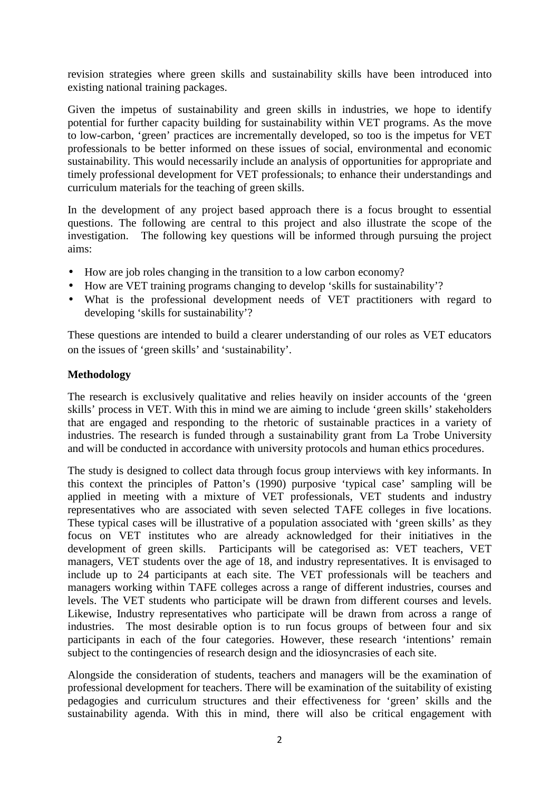revision strategies where green skills and sustainability skills have been introduced into existing national training packages.

Given the impetus of sustainability and green skills in industries, we hope to identify potential for further capacity building for sustainability within VET programs. As the move to low-carbon, 'green' practices are incrementally developed, so too is the impetus for VET professionals to be better informed on these issues of social, environmental and economic sustainability. This would necessarily include an analysis of opportunities for appropriate and timely professional development for VET professionals; to enhance their understandings and curriculum materials for the teaching of green skills.

In the development of any project based approach there is a focus brought to essential questions. The following are central to this project and also illustrate the scope of the investigation. The following key questions will be informed through pursuing the project aims:

- How are job roles changing in the transition to a low carbon economy?
- How are VET training programs changing to develop 'skills for sustainability'?
- What is the professional development needs of VET practitioners with regard to developing 'skills for sustainability'?

These questions are intended to build a clearer understanding of our roles as VET educators on the issues of 'green skills' and 'sustainability'.

### **Methodology**

The research is exclusively qualitative and relies heavily on insider accounts of the 'green skills' process in VET. With this in mind we are aiming to include 'green skills' stakeholders that are engaged and responding to the rhetoric of sustainable practices in a variety of industries. The research is funded through a sustainability grant from La Trobe University and will be conducted in accordance with university protocols and human ethics procedures.

The study is designed to collect data through focus group interviews with key informants. In this context the principles of Patton's (1990) purposive 'typical case' sampling will be applied in meeting with a mixture of VET professionals, VET students and industry representatives who are associated with seven selected TAFE colleges in five locations. These typical cases will be illustrative of a population associated with 'green skills' as they focus on VET institutes who are already acknowledged for their initiatives in the development of green skills. Participants will be categorised as: VET teachers, VET managers, VET students over the age of 18, and industry representatives. It is envisaged to include up to 24 participants at each site. The VET professionals will be teachers and managers working within TAFE colleges across a range of different industries, courses and levels. The VET students who participate will be drawn from different courses and levels. Likewise, Industry representatives who participate will be drawn from across a range of industries. The most desirable option is to run focus groups of between four and six participants in each of the four categories. However, these research 'intentions' remain subject to the contingencies of research design and the idiosyncrasies of each site.

Alongside the consideration of students, teachers and managers will be the examination of professional development for teachers. There will be examination of the suitability of existing pedagogies and curriculum structures and their effectiveness for 'green' skills and the sustainability agenda. With this in mind, there will also be critical engagement with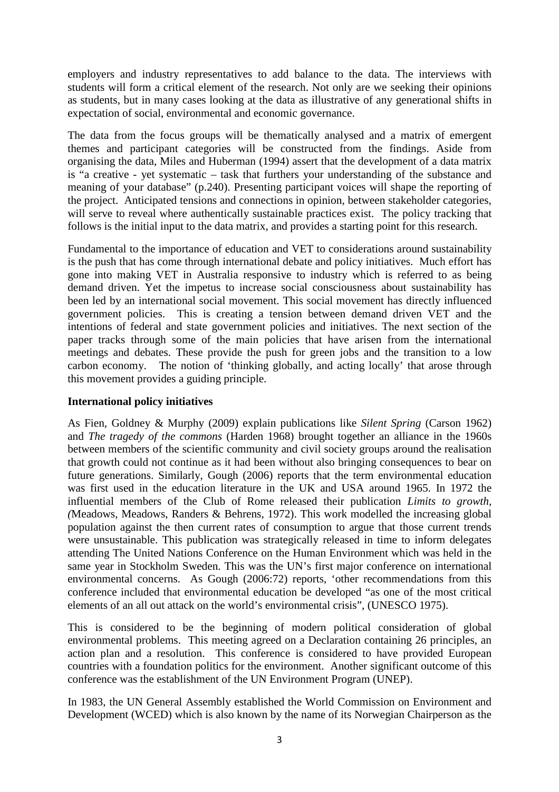employers and industry representatives to add balance to the data. The interviews with students will form a critical element of the research. Not only are we seeking their opinions as students, but in many cases looking at the data as illustrative of any generational shifts in expectation of social, environmental and economic governance.

The data from the focus groups will be thematically analysed and a matrix of emergent themes and participant categories will be constructed from the findings. Aside from organising the data, Miles and Huberman (1994) assert that the development of a data matrix is "a creative - yet systematic – task that furthers your understanding of the substance and meaning of your database" (p.240). Presenting participant voices will shape the reporting of the project. Anticipated tensions and connections in opinion, between stakeholder categories, will serve to reveal where authentically sustainable practices exist. The policy tracking that follows is the initial input to the data matrix, and provides a starting point for this research.

Fundamental to the importance of education and VET to considerations around sustainability is the push that has come through international debate and policy initiatives. Much effort has gone into making VET in Australia responsive to industry which is referred to as being demand driven. Yet the impetus to increase social consciousness about sustainability has been led by an international social movement. This social movement has directly influenced government policies. This is creating a tension between demand driven VET and the intentions of federal and state government policies and initiatives. The next section of the paper tracks through some of the main policies that have arisen from the international meetings and debates. These provide the push for green jobs and the transition to a low carbon economy. The notion of 'thinking globally, and acting locally' that arose through this movement provides a guiding principle.

## **International policy initiatives**

As Fien, Goldney & Murphy (2009) explain publications like *Silent Spring* (Carson 1962) and *The tragedy of the commons* (Harden 1968) brought together an alliance in the 1960s between members of the scientific community and civil society groups around the realisation that growth could not continue as it had been without also bringing consequences to bear on future generations. Similarly, Gough (2006) reports that the term environmental education was first used in the education literature in the UK and USA around 1965. In 1972 the influential members of the Club of Rome released their publication *Limits to growth, (*Meadows, Meadows, Randers & Behrens, 1972). This work modelled the increasing global population against the then current rates of consumption to argue that those current trends were unsustainable. This publication was strategically released in time to inform delegates attending The United Nations Conference on the Human Environment which was held in the same year in Stockholm Sweden. This was the UN's first major conference on international environmental concerns. As Gough (2006:72) reports, 'other recommendations from this conference included that environmental education be developed "as one of the most critical elements of an all out attack on the world's environmental crisis", (UNESCO 1975).

This is considered to be the beginning of modern political consideration of global environmental problems. This meeting agreed on a Declaration containing 26 principles, an action plan and a resolution. This conference is considered to have provided European countries with a foundation politics for the environment. Another significant outcome of this conference was the establishment of the UN Environment Program (UNEP).

In 1983, the UN General Assembly established the World Commission on Environment and Development (WCED) which is also known by the name of its Norwegian Chairperson as the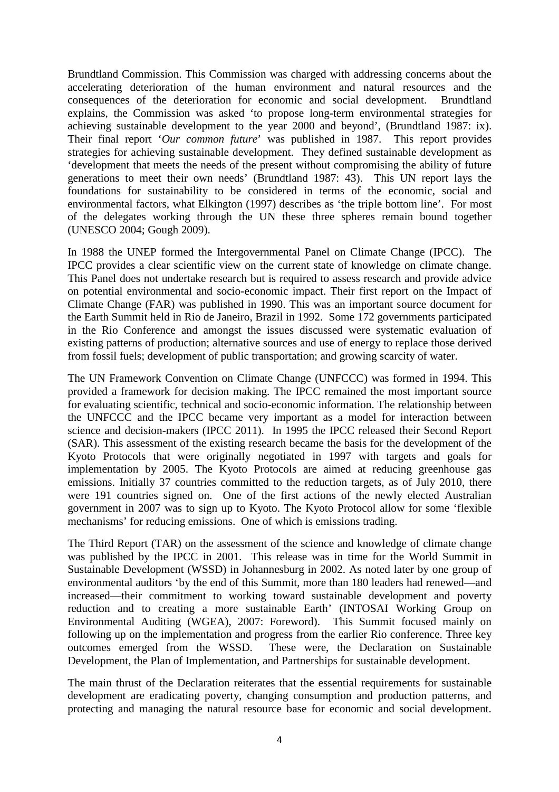Brundtland Commission. This Commission was charged with addressing concerns about the accelerating deterioration of the human environment and natural resources and the consequences of the deterioration for economic and social development. Brundtland explains, the Commission was asked 'to propose long-term environmental strategies for achieving sustainable development to the year 2000 and beyond', (Brundtland 1987: ix). Their final report '*Our common future*' was published in 1987. This report provides strategies for achieving sustainable development. They defined sustainable development as 'development that meets the needs of the present without compromising the ability of future generations to meet their own needs' (Brundtland 1987: 43). This UN report lays the foundations for sustainability to be considered in terms of the economic, social and environmental factors, what Elkington (1997) describes as 'the triple bottom line'. For most of the delegates working through the UN these three spheres remain bound together (UNESCO 2004; Gough 2009).

In 1988 the UNEP formed the Intergovernmental Panel on Climate Change (IPCC). The IPCC provides a clear scientific view on the current state of knowledge on climate change. This Panel does not undertake research but is required to assess research and provide advice on potential environmental and socio-economic impact. Their first report on the Impact of Climate Change (FAR) was published in 1990. This was an important source document for the Earth Summit held in Rio de Janeiro, Brazil in 1992. Some 172 governments participated in the Rio Conference and amongst the issues discussed were systematic evaluation of existing patterns of production; alternative sources and use of energy to replace those derived from fossil fuels; development of public transportation; and growing scarcity of water.

The UN Framework Convention on Climate Change (UNFCCC) was formed in 1994. This provided a framework for decision making. The IPCC remained the most important source for evaluating scientific, technical and socio-economic information. The relationship between the UNFCCC and the IPCC became very important as a model for interaction between science and decision-makers (IPCC 2011). In 1995 the IPCC released their Second Report (SAR). This assessment of the existing research became the basis for the development of the Kyoto Protocols that were originally negotiated in 1997 with targets and goals for implementation by 2005. The Kyoto Protocols are aimed at reducing greenhouse gas emissions. Initially 37 countries committed to the reduction targets, as of July 2010, there were 191 countries signed on. One of the first actions of the newly elected Australian government in 2007 was to sign up to Kyoto. The Kyoto Protocol allow for some 'flexible mechanisms' for reducing emissions. One of which is emissions trading.

The Third Report (TAR) on the assessment of the science and knowledge of climate change was published by the IPCC in 2001. This release was in time for the World Summit in Sustainable Development (WSSD) in Johannesburg in 2002. As noted later by one group of environmental auditors 'by the end of this Summit, more than 180 leaders had renewed—and increased—their commitment to working toward sustainable development and poverty reduction and to creating a more sustainable Earth' (INTOSAI Working Group on Environmental Auditing (WGEA), 2007: Foreword). This Summit focused mainly on following up on the implementation and progress from the earlier Rio conference. Three key outcomes emerged from the WSSD. These were, the Declaration on Sustainable Development, the Plan of Implementation, and Partnerships for sustainable development.

The main thrust of the Declaration reiterates that the essential requirements for sustainable development are eradicating poverty, changing consumption and production patterns, and protecting and managing the natural resource base for economic and social development.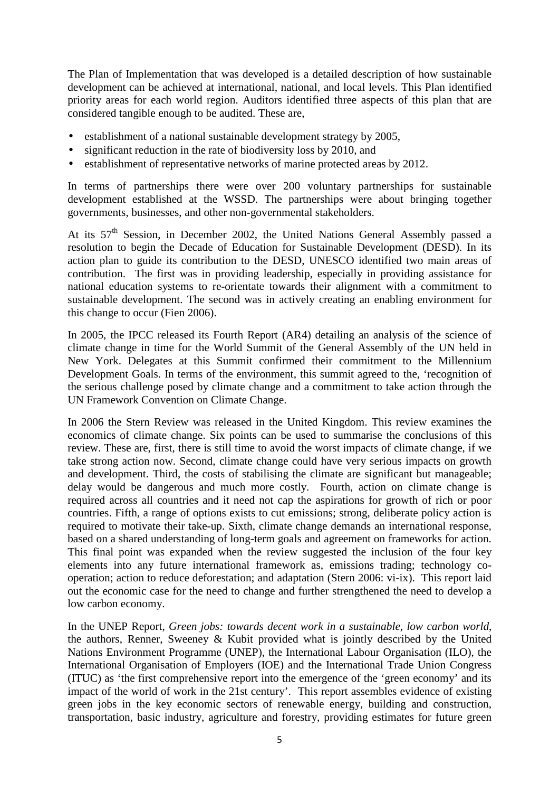The Plan of Implementation that was developed is a detailed description of how sustainable development can be achieved at international, national, and local levels. This Plan identified priority areas for each world region. Auditors identified three aspects of this plan that are considered tangible enough to be audited. These are,

- establishment of a national sustainable development strategy by 2005,
- significant reduction in the rate of biodiversity loss by 2010, and
- establishment of representative networks of marine protected areas by 2012.

In terms of partnerships there were over 200 voluntary partnerships for sustainable development established at the WSSD. The partnerships were about bringing together governments, businesses, and other non-governmental stakeholders.

At its  $57<sup>th</sup>$  Session, in December 2002, the United Nations General Assembly passed a resolution to begin the Decade of Education for Sustainable Development (DESD). In its action plan to guide its contribution to the DESD, UNESCO identified two main areas of contribution. The first was in providing leadership, especially in providing assistance for national education systems to re-orientate towards their alignment with a commitment to sustainable development. The second was in actively creating an enabling environment for this change to occur (Fien 2006).

In 2005, the IPCC released its Fourth Report (AR4) detailing an analysis of the science of climate change in time for the World Summit of the General Assembly of the UN held in New York. Delegates at this Summit confirmed their commitment to the Millennium Development Goals. In terms of the environment, this summit agreed to the, 'recognition of the serious challenge posed by climate change and a commitment to take action through the UN Framework Convention on Climate Change.

In 2006 the Stern Review was released in the United Kingdom. This review examines the economics of climate change. Six points can be used to summarise the conclusions of this review. These are, first, there is still time to avoid the worst impacts of climate change, if we take strong action now. Second, climate change could have very serious impacts on growth and development. Third, the costs of stabilising the climate are significant but manageable; delay would be dangerous and much more costly. Fourth, action on climate change is required across all countries and it need not cap the aspirations for growth of rich or poor countries. Fifth, a range of options exists to cut emissions; strong, deliberate policy action is required to motivate their take-up. Sixth, climate change demands an international response, based on a shared understanding of long-term goals and agreement on frameworks for action. This final point was expanded when the review suggested the inclusion of the four key elements into any future international framework as, emissions trading; technology cooperation; action to reduce deforestation; and adaptation (Stern 2006: vi-ix). This report laid out the economic case for the need to change and further strengthened the need to develop a low carbon economy.

In the UNEP Report, *Green jobs: towards decent work in a sustainable, low carbon world*, the authors, Renner, Sweeney & Kubit provided what is jointly described by the United Nations Environment Programme (UNEP), the International Labour Organisation (ILO), the International Organisation of Employers (IOE) and the International Trade Union Congress (ITUC) as 'the first comprehensive report into the emergence of the 'green economy' and its impact of the world of work in the 21st century'. This report assembles evidence of existing green jobs in the key economic sectors of renewable energy, building and construction, transportation, basic industry, agriculture and forestry, providing estimates for future green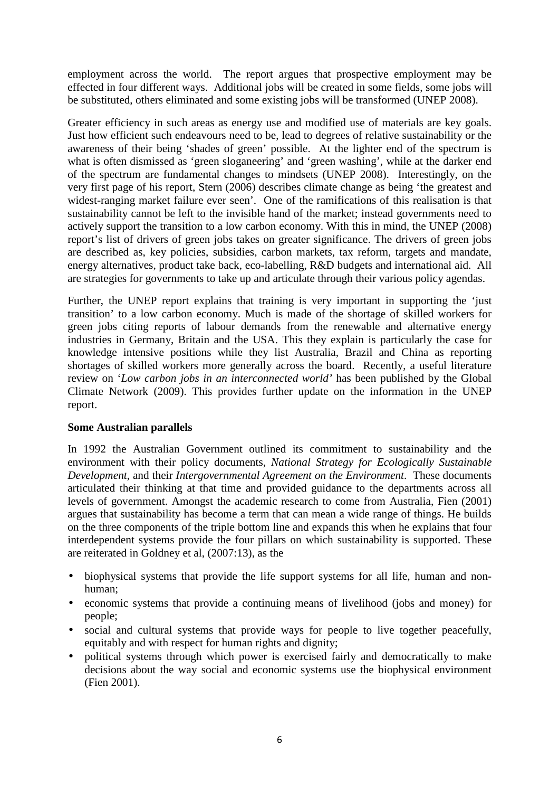employment across the world. The report argues that prospective employment may be effected in four different ways. Additional jobs will be created in some fields, some jobs will be substituted, others eliminated and some existing jobs will be transformed (UNEP 2008).

Greater efficiency in such areas as energy use and modified use of materials are key goals. Just how efficient such endeavours need to be, lead to degrees of relative sustainability or the awareness of their being 'shades of green' possible. At the lighter end of the spectrum is what is often dismissed as 'green sloganeering' and 'green washing', while at the darker end of the spectrum are fundamental changes to mindsets (UNEP 2008). Interestingly, on the very first page of his report, Stern (2006) describes climate change as being 'the greatest and widest-ranging market failure ever seen'. One of the ramifications of this realisation is that sustainability cannot be left to the invisible hand of the market; instead governments need to actively support the transition to a low carbon economy. With this in mind, the UNEP (2008) report's list of drivers of green jobs takes on greater significance. The drivers of green jobs are described as, key policies, subsidies, carbon markets, tax reform, targets and mandate, energy alternatives, product take back, eco-labelling, R&D budgets and international aid. All are strategies for governments to take up and articulate through their various policy agendas.

Further, the UNEP report explains that training is very important in supporting the 'just transition' to a low carbon economy. Much is made of the shortage of skilled workers for green jobs citing reports of labour demands from the renewable and alternative energy industries in Germany, Britain and the USA. This they explain is particularly the case for knowledge intensive positions while they list Australia, Brazil and China as reporting shortages of skilled workers more generally across the board. Recently, a useful literature review on '*Low carbon jobs in an interconnected world'* has been published by the Global Climate Network (2009). This provides further update on the information in the UNEP report.

#### **Some Australian parallels**

In 1992 the Australian Government outlined its commitment to sustainability and the environment with their policy documents, *National Strategy for Ecologically Sustainable Development*, and their *Intergovernmental Agreement on the Environment*. These documents articulated their thinking at that time and provided guidance to the departments across all levels of government. Amongst the academic research to come from Australia, Fien (2001) argues that sustainability has become a term that can mean a wide range of things. He builds on the three components of the triple bottom line and expands this when he explains that four interdependent systems provide the four pillars on which sustainability is supported. These are reiterated in Goldney et al, (2007:13), as the

- biophysical systems that provide the life support systems for all life, human and nonhuman;
- economic systems that provide a continuing means of livelihood (jobs and money) for people;
- social and cultural systems that provide ways for people to live together peacefully, equitably and with respect for human rights and dignity;
- political systems through which power is exercised fairly and democratically to make decisions about the way social and economic systems use the biophysical environment (Fien 2001).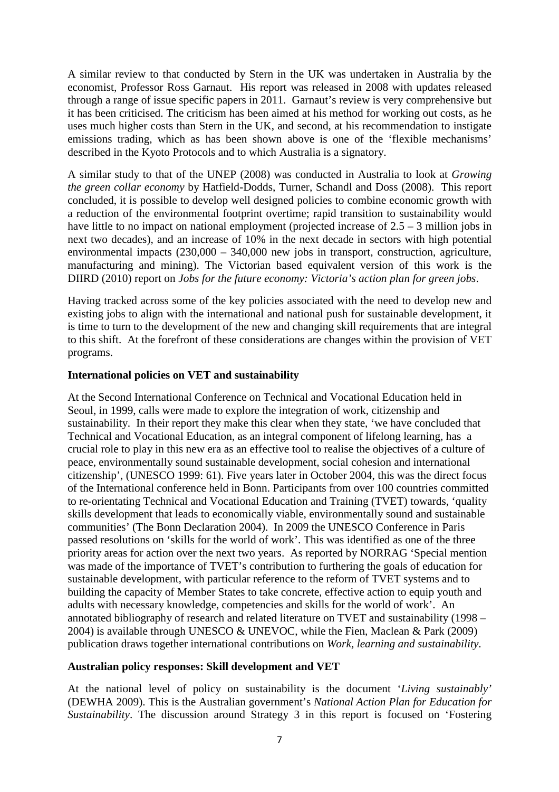A similar review to that conducted by Stern in the UK was undertaken in Australia by the economist, Professor Ross Garnaut. His report was released in 2008 with updates released through a range of issue specific papers in 2011. Garnaut's review is very comprehensive but it has been criticised. The criticism has been aimed at his method for working out costs, as he uses much higher costs than Stern in the UK, and second, at his recommendation to instigate emissions trading, which as has been shown above is one of the 'flexible mechanisms' described in the Kyoto Protocols and to which Australia is a signatory.

A similar study to that of the UNEP (2008) was conducted in Australia to look at *Growing the green collar economy* by Hatfield-Dodds, Turner, Schandl and Doss (2008). This report concluded, it is possible to develop well designed policies to combine economic growth with a reduction of the environmental footprint overtime; rapid transition to sustainability would have little to no impact on national employment (projected increase of 2.5 – 3 million jobs in next two decades), and an increase of 10% in the next decade in sectors with high potential environmental impacts (230,000 – 340,000 new jobs in transport, construction, agriculture, manufacturing and mining). The Victorian based equivalent version of this work is the DIIRD (2010) report on *Jobs for the future economy: Victoria's action plan for green jobs*.

Having tracked across some of the key policies associated with the need to develop new and existing jobs to align with the international and national push for sustainable development, it is time to turn to the development of the new and changing skill requirements that are integral to this shift. At the forefront of these considerations are changes within the provision of VET programs.

#### **International policies on VET and sustainability**

At the Second International Conference on Technical and Vocational Education held in Seoul, in 1999, calls were made to explore the integration of work, citizenship and sustainability. In their report they make this clear when they state, 'we have concluded that Technical and Vocational Education, as an integral component of lifelong learning, has a crucial role to play in this new era as an effective tool to realise the objectives of a culture of peace, environmentally sound sustainable development, social cohesion and international citizenship', (UNESCO 1999: 61). Five years later in October 2004, this was the direct focus of the International conference held in Bonn. Participants from over 100 countries committed to re-orientating Technical and Vocational Education and Training (TVET) towards, 'quality skills development that leads to economically viable, environmentally sound and sustainable communities' (The Bonn Declaration 2004). In 2009 the UNESCO Conference in Paris passed resolutions on 'skills for the world of work'. This was identified as one of the three priority areas for action over the next two years. As reported by NORRAG 'Special mention was made of the importance of TVET's contribution to furthering the goals of education for sustainable development, with particular reference to the reform of TVET systems and to building the capacity of Member States to take concrete, effective action to equip youth and adults with necessary knowledge, competencies and skills for the world of work'. An annotated bibliography of research and related literature on TVET and sustainability (1998 – 2004) is available through UNESCO & UNEVOC, while the Fien, Maclean & Park (2009) publication draws together international contributions on *Work, learning and sustainability*.

#### **Australian policy responses: Skill development and VET**

At the national level of policy on sustainability is the document '*Living sustainably'* (DEWHA 2009). This is the Australian government's *National Action Plan for Education for Sustainability*. The discussion around Strategy 3 in this report is focused on 'Fostering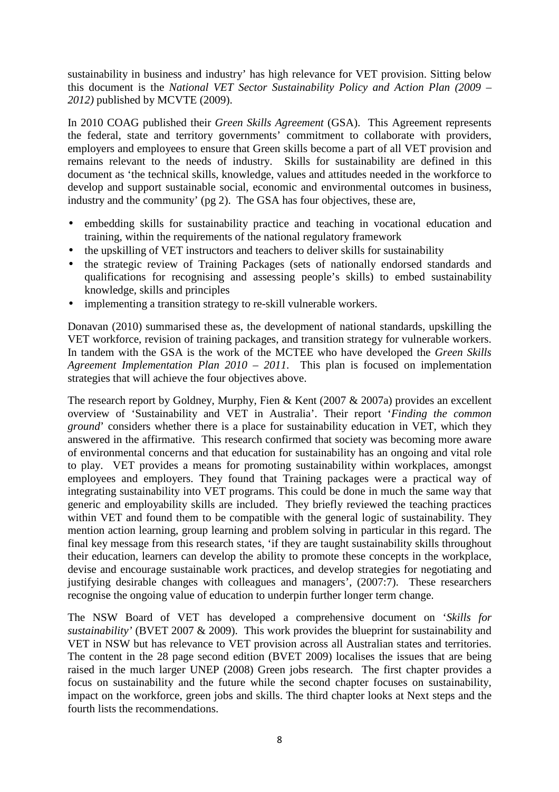sustainability in business and industry' has high relevance for VET provision. Sitting below this document is the *National VET Sector Sustainability Policy and Action Plan (2009 – 2012)* published by MCVTE (2009).

In 2010 COAG published their *Green Skills Agreement* (GSA). This Agreement represents the federal, state and territory governments' commitment to collaborate with providers, employers and employees to ensure that Green skills become a part of all VET provision and remains relevant to the needs of industry. Skills for sustainability are defined in this document as 'the technical skills, knowledge, values and attitudes needed in the workforce to develop and support sustainable social, economic and environmental outcomes in business, industry and the community' (pg 2). The GSA has four objectives, these are,

- embedding skills for sustainability practice and teaching in vocational education and training, within the requirements of the national regulatory framework
- the upskilling of VET instructors and teachers to deliver skills for sustainability
- the strategic review of Training Packages (sets of nationally endorsed standards and qualifications for recognising and assessing people's skills) to embed sustainability knowledge, skills and principles
- implementing a transition strategy to re-skill vulnerable workers.

Donavan (2010) summarised these as, the development of national standards, upskilling the VET workforce, revision of training packages, and transition strategy for vulnerable workers. In tandem with the GSA is the work of the MCTEE who have developed the *Green Skills Agreement Implementation Plan 2010 – 2011*. This plan is focused on implementation strategies that will achieve the four objectives above.

The research report by Goldney, Murphy, Fien & Kent (2007 & 2007a) provides an excellent overview of 'Sustainability and VET in Australia'. Their report '*Finding the common ground*' considers whether there is a place for sustainability education in VET, which they answered in the affirmative. This research confirmed that society was becoming more aware of environmental concerns and that education for sustainability has an ongoing and vital role to play. VET provides a means for promoting sustainability within workplaces, amongst employees and employers. They found that Training packages were a practical way of integrating sustainability into VET programs. This could be done in much the same way that generic and employability skills are included. They briefly reviewed the teaching practices within VET and found them to be compatible with the general logic of sustainability. They mention action learning, group learning and problem solving in particular in this regard. The final key message from this research states, 'if they are taught sustainability skills throughout their education, learners can develop the ability to promote these concepts in the workplace, devise and encourage sustainable work practices, and develop strategies for negotiating and justifying desirable changes with colleagues and managers', (2007:7). These researchers recognise the ongoing value of education to underpin further longer term change.

The NSW Board of VET has developed a comprehensive document on '*Skills for sustainability'* (BVET 2007 & 2009). This work provides the blueprint for sustainability and VET in NSW but has relevance to VET provision across all Australian states and territories. The content in the 28 page second edition (BVET 2009) localises the issues that are being raised in the much larger UNEP (2008) Green jobs research. The first chapter provides a focus on sustainability and the future while the second chapter focuses on sustainability, impact on the workforce, green jobs and skills. The third chapter looks at Next steps and the fourth lists the recommendations.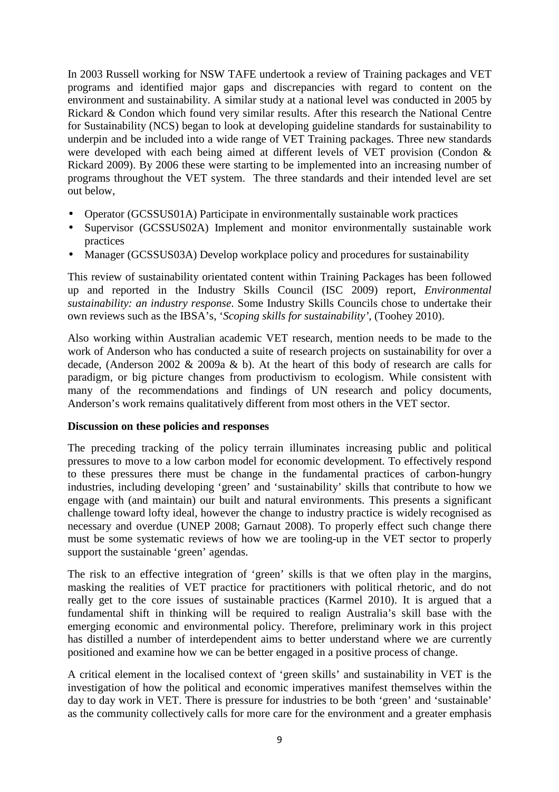In 2003 Russell working for NSW TAFE undertook a review of Training packages and VET programs and identified major gaps and discrepancies with regard to content on the environment and sustainability. A similar study at a national level was conducted in 2005 by Rickard & Condon which found very similar results. After this research the National Centre for Sustainability (NCS) began to look at developing guideline standards for sustainability to underpin and be included into a wide range of VET Training packages. Three new standards were developed with each being aimed at different levels of VET provision (Condon & Rickard 2009). By 2006 these were starting to be implemented into an increasing number of programs throughout the VET system. The three standards and their intended level are set out below,

- Operator (GCSSUS01A) Participate in environmentally sustainable work practices
- Supervisor (GCSSUS02A) Implement and monitor environmentally sustainable work practices
- Manager (GCSSUS03A) Develop workplace policy and procedures for sustainability

This review of sustainability orientated content within Training Packages has been followed up and reported in the Industry Skills Council (ISC 2009) report, *Environmental sustainability: an industry response*. Some Industry Skills Councils chose to undertake their own reviews such as the IBSA's, '*Scoping skills for sustainability'*, (Toohey 2010).

Also working within Australian academic VET research, mention needs to be made to the work of Anderson who has conducted a suite of research projects on sustainability for over a decade, (Anderson 2002 & 2009a & b). At the heart of this body of research are calls for paradigm, or big picture changes from productivism to ecologism. While consistent with many of the recommendations and findings of UN research and policy documents, Anderson's work remains qualitatively different from most others in the VET sector.

#### **Discussion on these policies and responses**

The preceding tracking of the policy terrain illuminates increasing public and political pressures to move to a low carbon model for economic development. To effectively respond to these pressures there must be change in the fundamental practices of carbon-hungry industries, including developing 'green' and 'sustainability' skills that contribute to how we engage with (and maintain) our built and natural environments. This presents a significant challenge toward lofty ideal, however the change to industry practice is widely recognised as necessary and overdue (UNEP 2008; Garnaut 2008). To properly effect such change there must be some systematic reviews of how we are tooling-up in the VET sector to properly support the sustainable 'green' agendas.

The risk to an effective integration of 'green' skills is that we often play in the margins, masking the realities of VET practice for practitioners with political rhetoric, and do not really get to the core issues of sustainable practices (Karmel 2010). It is argued that a fundamental shift in thinking will be required to realign Australia's skill base with the emerging economic and environmental policy. Therefore, preliminary work in this project has distilled a number of interdependent aims to better understand where we are currently positioned and examine how we can be better engaged in a positive process of change.

A critical element in the localised context of 'green skills' and sustainability in VET is the investigation of how the political and economic imperatives manifest themselves within the day to day work in VET. There is pressure for industries to be both 'green' and 'sustainable' as the community collectively calls for more care for the environment and a greater emphasis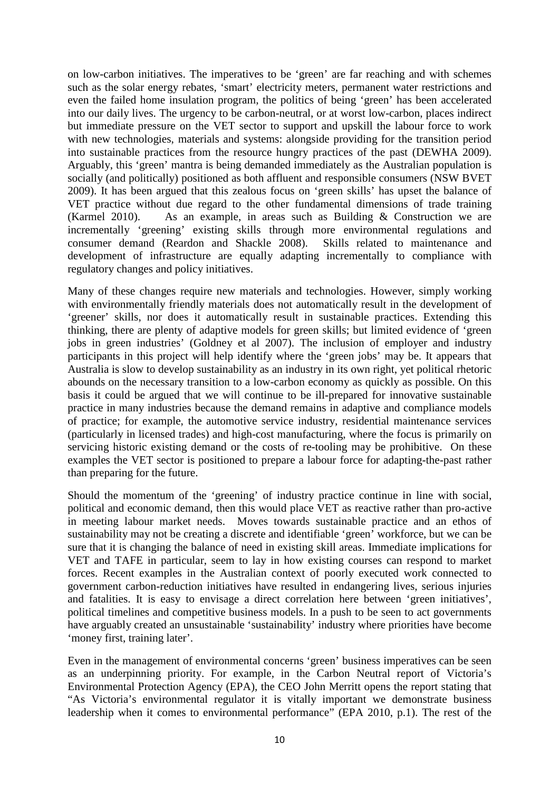on low-carbon initiatives. The imperatives to be 'green' are far reaching and with schemes such as the solar energy rebates, 'smart' electricity meters, permanent water restrictions and even the failed home insulation program, the politics of being 'green' has been accelerated into our daily lives. The urgency to be carbon-neutral, or at worst low-carbon, places indirect but immediate pressure on the VET sector to support and upskill the labour force to work with new technologies, materials and systems: alongside providing for the transition period into sustainable practices from the resource hungry practices of the past (DEWHA 2009). Arguably, this 'green' mantra is being demanded immediately as the Australian population is socially (and politically) positioned as both affluent and responsible consumers (NSW BVET 2009). It has been argued that this zealous focus on 'green skills' has upset the balance of VET practice without due regard to the other fundamental dimensions of trade training (Karmel 2010). As an example, in areas such as Building & Construction we are incrementally 'greening' existing skills through more environmental regulations and consumer demand (Reardon and Shackle 2008). Skills related to maintenance and development of infrastructure are equally adapting incrementally to compliance with regulatory changes and policy initiatives.

Many of these changes require new materials and technologies. However, simply working with environmentally friendly materials does not automatically result in the development of 'greener' skills, nor does it automatically result in sustainable practices. Extending this thinking, there are plenty of adaptive models for green skills; but limited evidence of 'green jobs in green industries' (Goldney et al 2007). The inclusion of employer and industry participants in this project will help identify where the 'green jobs' may be. It appears that Australia is slow to develop sustainability as an industry in its own right, yet political rhetoric abounds on the necessary transition to a low-carbon economy as quickly as possible. On this basis it could be argued that we will continue to be ill-prepared for innovative sustainable practice in many industries because the demand remains in adaptive and compliance models of practice; for example, the automotive service industry, residential maintenance services (particularly in licensed trades) and high-cost manufacturing, where the focus is primarily on servicing historic existing demand or the costs of re-tooling may be prohibitive. On these examples the VET sector is positioned to prepare a labour force for adapting-the-past rather than preparing for the future.

Should the momentum of the 'greening' of industry practice continue in line with social, political and economic demand, then this would place VET as reactive rather than pro-active in meeting labour market needs. Moves towards sustainable practice and an ethos of sustainability may not be creating a discrete and identifiable 'green' workforce, but we can be sure that it is changing the balance of need in existing skill areas. Immediate implications for VET and TAFE in particular, seem to lay in how existing courses can respond to market forces. Recent examples in the Australian context of poorly executed work connected to government carbon-reduction initiatives have resulted in endangering lives, serious injuries and fatalities. It is easy to envisage a direct correlation here between 'green initiatives', political timelines and competitive business models. In a push to be seen to act governments have arguably created an unsustainable 'sustainability' industry where priorities have become 'money first, training later'.

Even in the management of environmental concerns 'green' business imperatives can be seen as an underpinning priority. For example, in the Carbon Neutral report of Victoria's Environmental Protection Agency (EPA), the CEO John Merritt opens the report stating that "As Victoria's environmental regulator it is vitally important we demonstrate business leadership when it comes to environmental performance" (EPA 2010, p.1). The rest of the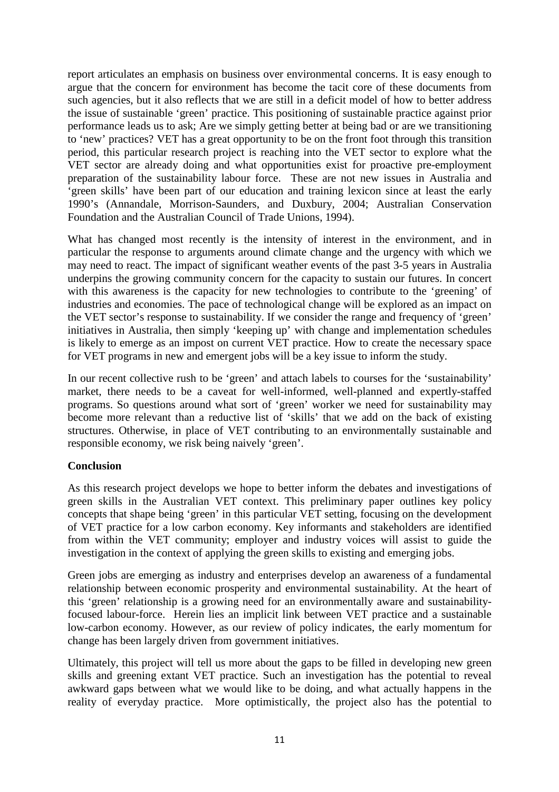report articulates an emphasis on business over environmental concerns. It is easy enough to argue that the concern for environment has become the tacit core of these documents from such agencies, but it also reflects that we are still in a deficit model of how to better address the issue of sustainable 'green' practice. This positioning of sustainable practice against prior performance leads us to ask; Are we simply getting better at being bad or are we transitioning to 'new' practices? VET has a great opportunity to be on the front foot through this transition period, this particular research project is reaching into the VET sector to explore what the VET sector are already doing and what opportunities exist for proactive pre-employment preparation of the sustainability labour force. These are not new issues in Australia and 'green skills' have been part of our education and training lexicon since at least the early 1990's (Annandale, Morrison-Saunders, and Duxbury, 2004; Australian Conservation Foundation and the Australian Council of Trade Unions, 1994).

What has changed most recently is the intensity of interest in the environment, and in particular the response to arguments around climate change and the urgency with which we may need to react. The impact of significant weather events of the past 3-5 years in Australia underpins the growing community concern for the capacity to sustain our futures. In concert with this awareness is the capacity for new technologies to contribute to the 'greening' of industries and economies. The pace of technological change will be explored as an impact on the VET sector's response to sustainability. If we consider the range and frequency of 'green' initiatives in Australia, then simply 'keeping up' with change and implementation schedules is likely to emerge as an impost on current VET practice. How to create the necessary space for VET programs in new and emergent jobs will be a key issue to inform the study.

In our recent collective rush to be 'green' and attach labels to courses for the 'sustainability' market, there needs to be a caveat for well-informed, well-planned and expertly-staffed programs. So questions around what sort of 'green' worker we need for sustainability may become more relevant than a reductive list of 'skills' that we add on the back of existing structures. Otherwise, in place of VET contributing to an environmentally sustainable and responsible economy, we risk being naively 'green'.

## **Conclusion**

As this research project develops we hope to better inform the debates and investigations of green skills in the Australian VET context. This preliminary paper outlines key policy concepts that shape being 'green' in this particular VET setting, focusing on the development of VET practice for a low carbon economy. Key informants and stakeholders are identified from within the VET community; employer and industry voices will assist to guide the investigation in the context of applying the green skills to existing and emerging jobs.

Green jobs are emerging as industry and enterprises develop an awareness of a fundamental relationship between economic prosperity and environmental sustainability. At the heart of this 'green' relationship is a growing need for an environmentally aware and sustainabilityfocused labour-force. Herein lies an implicit link between VET practice and a sustainable low-carbon economy. However, as our review of policy indicates, the early momentum for change has been largely driven from government initiatives.

Ultimately, this project will tell us more about the gaps to be filled in developing new green skills and greening extant VET practice. Such an investigation has the potential to reveal awkward gaps between what we would like to be doing, and what actually happens in the reality of everyday practice. More optimistically, the project also has the potential to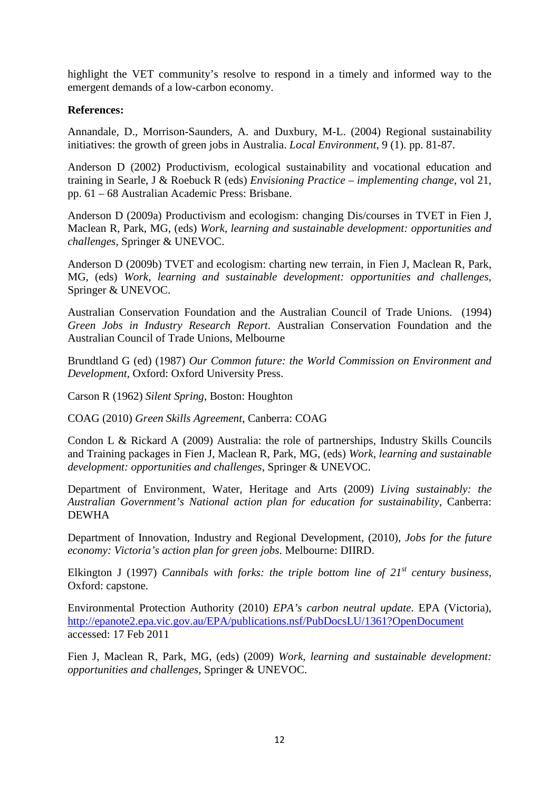highlight the VET community's resolve to respond in a timely and informed way to the emergent demands of a low-carbon economy.

#### **References:**

Annandale, D., Morrison-Saunders, A. and Duxbury, M-L. (2004) Regional sustainability initiatives: the growth of green jobs in Australia. *Local Environment*, 9 (1). pp. 81-87.

Anderson D (2002) Productivism, ecological sustainability and vocational education and training in Searle, J & Roebuck R (eds) *Envisioning Practice – implementing change*, vol 21, pp. 61 – 68 Australian Academic Press: Brisbane.

Anderson D (2009a) Productivism and ecologism: changing Dis/courses in TVET in Fien J, Maclean R, Park, MG, (eds) *Work, learning and sustainable development: opportunities and challenges*, Springer & UNEVOC.

Anderson D (2009b) TVET and ecologism: charting new terrain, in Fien J, Maclean R, Park, MG, (eds) *Work, learning and sustainable development: opportunities and challenges*, Springer & UNEVOC.

Australian Conservation Foundation and the Australian Council of Trade Unions. (1994) *Green Jobs in Industry Research Report*. Australian Conservation Foundation and the Australian Council of Trade Unions, Melbourne

Brundtland G (ed) (1987) *Our Common future: the World Commission on Environment and Development*, Oxford: Oxford University Press.

Carson R (1962) *Silent Spring*, Boston: Houghton

COAG (2010) *Green Skills Agreement*, Canberra: COAG

Condon L & Rickard A (2009) Australia: the role of partnerships, Industry Skills Councils and Training packages in Fien J, Maclean R, Park, MG, (eds) *Work, learning and sustainable development: opportunities and challenges*, Springer & UNEVOC.

Department of Environment, Water, Heritage and Arts (2009) *Living sustainably: the Australian Government's National action plan for education for sustainability*, Canberra: DEWHA

Department of Innovation, Industry and Regional Development, (2010), *Jobs for the future economy: Victoria's action plan for green jobs*. Melbourne: DIIRD.

Elkington J (1997) *Cannibals with forks: the triple bottom line of 21st century business*, Oxford: capstone.

Environmental Protection Authority (2010) *EPA's carbon neutral update*. EPA (Victoria), http://epanote2.epa.vic.gov.au/EPA/publications.nsf/PubDocsLU/1361?OpenDocument accessed: 17 Feb 2011

Fien J, Maclean R, Park, MG, (eds) (2009) *Work, learning and sustainable development: opportunities and challenges*, Springer & UNEVOC.